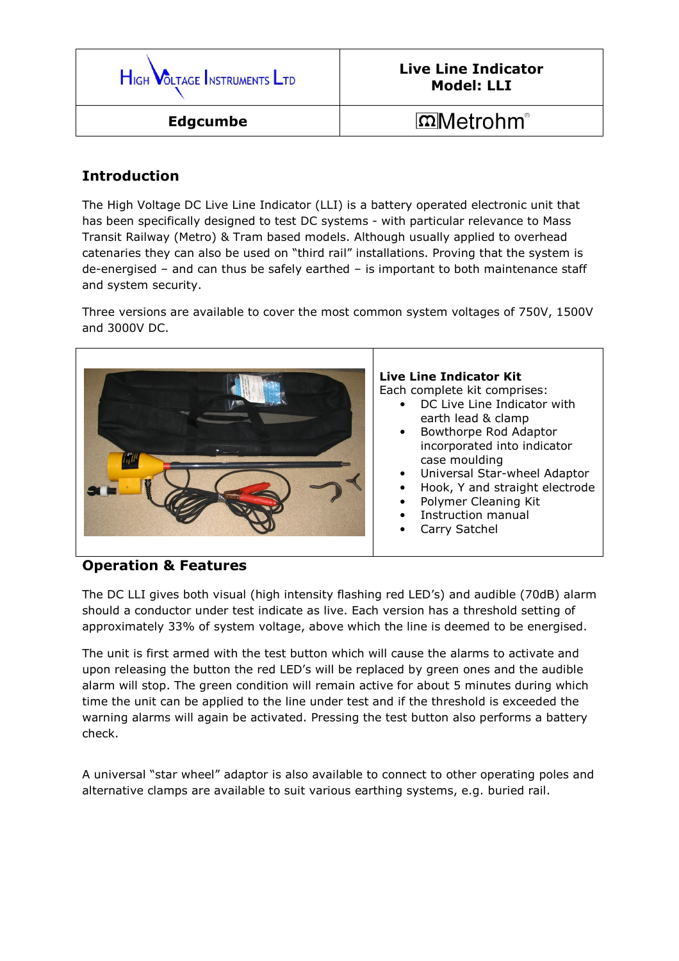

## Introduction

The High Voltage DC Live Line Indicator (LLI) is a battery operated electronic unit that has been specifically designed to test DC systems - with particular relevance to Mass Transit Railway (Metro) & Tram based models. Although usually applied to overhead catenaries they can also be used on "third rail" installations. Proving that the system is de-energised – and can thus be safely earthed – is important to both maintenance staff and system security.

Three versions are available to cover the most common system voltages of 750V, 1500V and 3000V DC.



## Live Line Indicator Kit

Each complete kit comprises:

- DC Live Line Indicator with earth lead & clamp
- Bowthorpe Rod Adaptor incorporated into indicator case moulding
- Universal Star-wheel Adaptor
- Hook, Y and straight electrode
- Polymer Cleaning Kit
- Instruction manual
- Carry Satchel

## Operation & Features

The DC LLI gives both visual (high intensity flashing red LED's) and audible (70dB) alarm should a conductor under test indicate as live. Each version has a threshold setting of approximately 33% of system voltage, above which the line is deemed to be energised.

The unit is first armed with the test button which will cause the alarms to activate and upon releasing the button the red LED's will be replaced by green ones and the audible alarm will stop. The green condition will remain active for about 5 minutes during which time the unit can be applied to the line under test and if the threshold is exceeded the warning alarms will again be activated. Pressing the test button also performs a battery check.

A universal "star wheel" adaptor is also available to connect to other operating poles and alternative clamps are available to suit various earthing systems, e.g. buried rail.